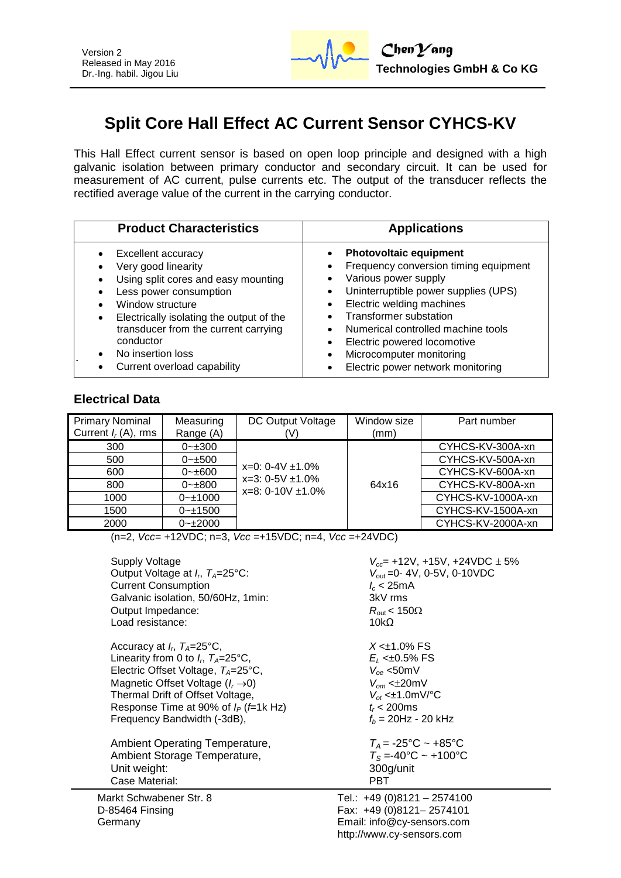

## **Split Core Hall Effect AC Current Sensor CYHCS-KV**

This Hall Effect current sensor is based on open loop principle and designed with a high galvanic isolation between primary conductor and secondary circuit. It can be used for measurement of AC current, pulse currents etc. The output of the transducer reflects the rectified average value of the current in the carrying conductor.

| <b>Product Characteristics</b>                                                                                                                                                                                                                                                                                       | <b>Applications</b>                                                                                                                                                                                                                                                                                                                                                                    |
|----------------------------------------------------------------------------------------------------------------------------------------------------------------------------------------------------------------------------------------------------------------------------------------------------------------------|----------------------------------------------------------------------------------------------------------------------------------------------------------------------------------------------------------------------------------------------------------------------------------------------------------------------------------------------------------------------------------------|
| <b>Excellent accuracy</b><br>$\bullet$<br>Very good linearity<br>Using split cores and easy mounting<br>Less power consumption<br>Window structure<br>Electrically isolating the output of the<br>transducer from the current carrying<br>conductor<br>No insertion loss<br>$\bullet$<br>Current overload capability | <b>Photovoltaic equipment</b><br>Frequency conversion timing equipment<br>٠<br>Various power supply<br>Uninterruptible power supplies (UPS)<br>$\bullet$<br>Electric welding machines<br>$\bullet$<br><b>Transformer substation</b><br>Numerical controlled machine tools<br>Electric powered locomotive<br>Microcomputer monitoring<br>$\bullet$<br>Electric power network monitoring |

## **Electrical Data**

| <b>Primary Nominal</b><br>Current $I_r(A)$ , rms | Measuring<br>Range (A) | DC Output Voltage                               | Window size<br>(mm) | Part number       |
|--------------------------------------------------|------------------------|-------------------------------------------------|---------------------|-------------------|
| 300                                              | $0 - 300$              |                                                 |                     | CYHCS-KV-300A-xn  |
| 500                                              | $0 - \pm 500$          |                                                 |                     | CYHCS-KV-500A-xn  |
| 600                                              | $0 - \pm 600$          | $x=0$ : 0-4V $\pm$ 1.0%                         |                     | CYHCS-KV-600A-xn  |
| 800                                              | $0 - \pm 800$          | $x=3: 0-5V \pm 1.0\%$<br>$x=8: 0-10V \pm 1.0\%$ | 64x16               | CYHCS-KV-800A-xn  |
| 1000                                             | $0 - 1000$             |                                                 |                     | CYHCS-KV-1000A-xn |
| 1500                                             | $0 - 1500$             |                                                 |                     | CYHCS-KV-1500A-xn |
| 2000                                             | $0 - 2000$             |                                                 |                     | CYHCS-KV-2000A-xn |

(n=2, *Vcc*= +12VDC; n=3, *Vcc* =+15VDC; n=4, *Vcc* =+24VDC)

| Supply Voltage                                      | $V_{cc}$ = +12V, +15V, +24VDC $\pm$ 5% |
|-----------------------------------------------------|----------------------------------------|
| Output Voltage at $I_r$ , $T_A = 25$ °C:            | $V_{\text{out}}$ = 0-4V, 0-5V, 0-10VDC |
| <b>Current Consumption</b>                          | $l_c$ < 25mA                           |
| Galvanic isolation, 50/60Hz, 1min:                  | 3kV rms                                |
| Output Impedance:                                   | $R_{\rm out}$ < 150 $\Omega$           |
| Load resistance:                                    | 10k $\Omega$                           |
| Accuracy at $I_r$ , $T_A = 25^{\circ}$ C,           | $X < 1.0\%$ FS                         |
| Linearity from 0 to $I_{r}$ , $T_{A}=25^{\circ}$ C, | $E_1$ < $\pm 0.5\%$ FS                 |
| Electric Offset Voltage, $T_A = 25^{\circ}C$ ,      | $V_{oe}$ <50mV                         |
| Magnetic Offset Voltage $(I_r \rightarrow 0)$       | $V_{\alpha m}$ < $\pm$ 20mV            |
| Thermal Drift of Offset Voltage,                    | $V_{\alpha t}$ < $\pm$ 1.0mV/°C        |
| Response Time at 90% of $I_P$ ( <i>f</i> =1k Hz)    | $t_c < 200$ ms                         |
| Frequency Bandwidth (-3dB),                         | $f_b = 20$ Hz - 20 kHz                 |
| Ambient Operating Temperature,                      | $T_A = -25$ °C ~ +85°C                 |
| Ambient Storage Temperature,                        | $T_s = -40$ °C ~ +100°C                |
| Unit weight:                                        | 300g/unit                              |
| Case Material:                                      | <b>PBT</b>                             |
| irkt Schwahener Str. 8                              | $T = 1.40(0)8121 - 2574100$            |

Markt Schwabener Str. 8 D-85464 Finsing **Germany**